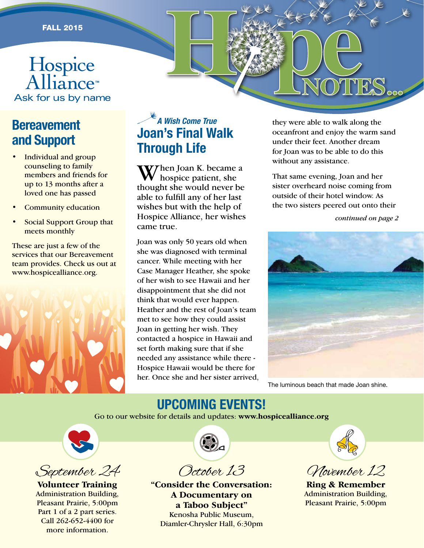# FALL 2015<br>Cospice Cospice Report of the Cospice Report of the Cospice Report of the Cosman Cospice Report of the Cosman Cosma<br>Report of the Cosman Cosman Cosman Cosman Cosman Cosman Cosman Cosman Cosman Cosman Cosman Cosma

# **Bereavement and Support**

- Individual and group counseling to family members and friends for up to 13 months after a loved one has passed
- Community education
- Social Support Group that meets monthly

These are just a few of the services that our Bereavement team provides. Check us out at www.hospicealliance.org.



### *A Wish Come True* **Joan's Final Walk Through Life**

W7hen Joan K. became a hospice patient, she thought she would never be able to fulfill any of her last wishes but with the help of Hospice Alliance, her wishes came true.

Joan was only 50 years old when she was diagnosed with terminal cancer. While meeting with her Case Manager Heather, she spoke of her wish to see Hawaii and her disappointment that she did not think that would ever happen. Heather and the rest of Joan's team met to see how they could assist Joan in getting her wish. They contacted a hospice in Hawaii and set forth making sure that if she needed any assistance while there - Hospice Hawaii would be there for her. Once she and her sister arrived,

they were able to walk along the oceanfront and enjoy the warm sand under their feet. Another dream for Joan was to be able to do this without any assistance.

HOPES.

That same evening, Joan and her sister overheard noise coming from outside of their hotel window. As the two sisters peered out onto their

*continued on page 2*



The luminous beach that made Joan shine.

## **UPCOMING EVENTS!**

Go to our website for details and updates: **www.hospicealliance.org**





**Volunteer Training**  Administration Building, Pleasant Prairie, 5:00pm Part 1 of a 2 part series. Call 262-652-4400 for more information.



October 13

**"Consider the Conversation: A Documentary on a Taboo Subject"** Kenosha Public Museum, Diamler-Chrysler Hall, 6:30pm



November 12

**Ring & Remember** Administration Building, Pleasant Prairie, 5:00pm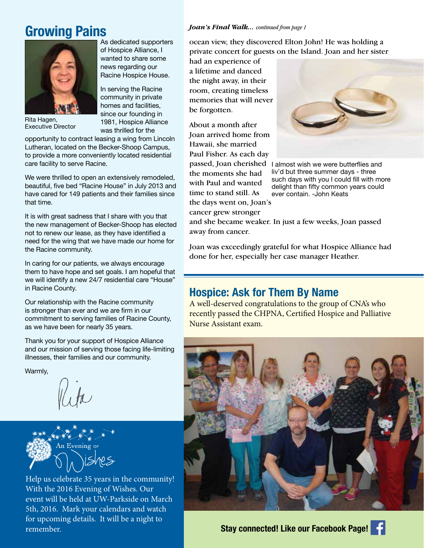#### As dedicated supporters *Joan's Final Walk... continued from page 1* **Growing Pains**



Rita Hagen, Executive Director

opportunity to contract leasing a wing from Lincoln Lutheran, located on the Becker-Shoop Campus, to provide a more conveniently located residential care facility to serve Racine.

of Hospice Alliance, I wanted to share some news regarding our Racine Hospice House.

In serving the Racine community in private homes and facilities, since our founding in 1981, Hospice Alliance was thrilled for the

We were thrilled to open an extensively remodeled, beautiful, five bed "Racine House" in July 2013 and have cared for 149 patients and their families since that time.

It is with great sadness that I share with you that the new management of Becker-Shoop has elected not to renew our lease, as they have identified a need for the wing that we have made our home for the Racine community.

In caring for our patients, we always encourage them to have hope and set goals. I am hopeful that we will identify a new 24/7 residential care "House" in Racine County.

Our relationship with the Racine community is stronger than ever and we are firm in our commitment to serving families of Racine County, as we have been for nearly 35 years.

Thank you for your support of Hospice Alliance and our mission of serving those facing life-limiting illnesses, their families and our community.

Warmly,



Help us celebrate 35 years in the community! With the 2016 Evening of Wishes. Our event will be held at UW-Parkside on March 5th, 2016. Mark your calendars and watch for upcoming details. It will be a night to remember.

ocean view, they discovered Elton John! He was holding a private concert for guests on the Island. Joan and her sister

had an experience of a lifetime and danced the night away, in their room, creating timeless memories that will never be forgotten.

About a month after Joan arrived home from Hawaii, she married Paul Fisher. As each day the moments she had with Paul and wanted

time to stand still. As the days went on, Joan's

cancer grew stronger



passed, Joan cherished I almost wish we were butterflies and liv'd but three summer days - three such days with you I could fill with more delight than fifty common years could ever contain. -John Keats

and she became weaker. In just a few weeks, Joan passed away from cancer.

Joan was exceedingly grateful for what Hospice Alliance had done for her, especially her case manager Heather.

#### **Hospice: Ask for Them By Name**

A well-deserved congratulations to the group of CNA's who recently passed the CHPNA, Certified Hospice and Palliative Nurse Assistant exam.

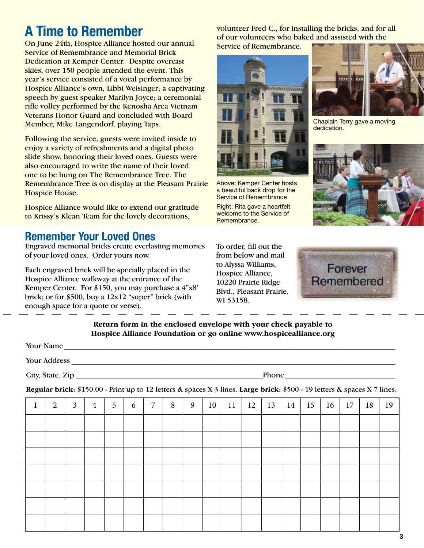# **A Time to Remember**

On June 24th, Hospice Alliance hosted our annual Service of Remembrance and Memorial Brick Dedication at Kemper Center. Despite overcast skies, over 150 people attended the event. This year's service consisted of a vocal performance by Hospice Alliance's own, Libbi Weisinger; a captivating speech by guest speaker Marilyn Joyce; a ceremonial rifle volley performed by the Kenosha Area Vietnam Veterans Honor Guard and concluded with Board Member, Mike Langendorf, playing Taps.

Following the service, guests were invited inside to enjoy a variety of refreshments and a digital photo slide show, honoring their loved ones. Guests were also encouraged to write the name of their loved one to be hung on The Remembrance Tree. The Remembrance Tree is on display at the Pleasant Prairie Hospice House.

Hospice Alliance would like to extend our gratitude to Krissy's Klean Team for the lovely decorations,

#### **Remember Your Loved Ones**

Engraved memorial bricks create everlasting memories of your loved ones. Order yours now.

Each engraved brick will be specially placed in the Hospice Alliance walkway at the entrance of the Kemper Center. For \$150, you may purchase a 4"x8' brick; or for \$500, buy a 12x12 "super" brick (with enough space for a quote or verse).

volunteer Fred C., for installing the bricks, and for all of our volunteers who baked and assisted with the Service of Remembrance.



Above: Kemper Center hosts a beautiful back drop for the Service of Remembrance

Right: Rita gave a heartfelt welcome to the Service of Remembrance.

To order, fill out the from below and mail to Alyssa Williams, Hospice Alliance, 10220 Prairie Ridge Blvd., Pleasant Prairie, WI 53158.



Chaplain Terry gave a moving dedication.





#### **Return form in the enclosed envelope with your check payable to Hospice Alliance Foundation or go online www.hospicealliance.org**

| Your Name        |       |
|------------------|-------|
| Your Address     |       |
| City, State, Zip | Phone |

**Regular brick:** \$150.00 - Print up to 12 letters & spaces X 3 lines. **Large brick:** \$500 - 19 letters & spaces X 7 lines.

| T. | $\overline{2}$ | $\mathfrak{Z}$ | $\overline{4}$ | $5\overline{)}$ | 6 | 7 | 8 | 9 | 10 | 11 | 12 | 13 | 14 | 15 | 16 | $\vert$ 17 | 18 | 19 |
|----|----------------|----------------|----------------|-----------------|---|---|---|---|----|----|----|----|----|----|----|------------|----|----|
|    |                |                |                |                 |   |   |   |   |    |    |    |    |    |    |    |            |    |    |
|    |                |                |                |                 |   |   |   |   |    |    |    |    |    |    |    |            |    |    |
|    |                |                |                |                 |   |   |   |   |    |    |    |    |    |    |    |            |    |    |
|    |                |                |                |                 |   |   |   |   |    |    |    |    |    |    |    |            |    |    |
|    |                |                |                |                 |   |   |   |   |    |    |    |    |    |    |    |            |    |    |
|    |                |                |                |                 |   |   |   |   |    |    |    |    |    |    |    |            |    |    |
|    |                |                |                |                 |   |   |   |   |    |    |    |    |    |    |    |            |    |    |